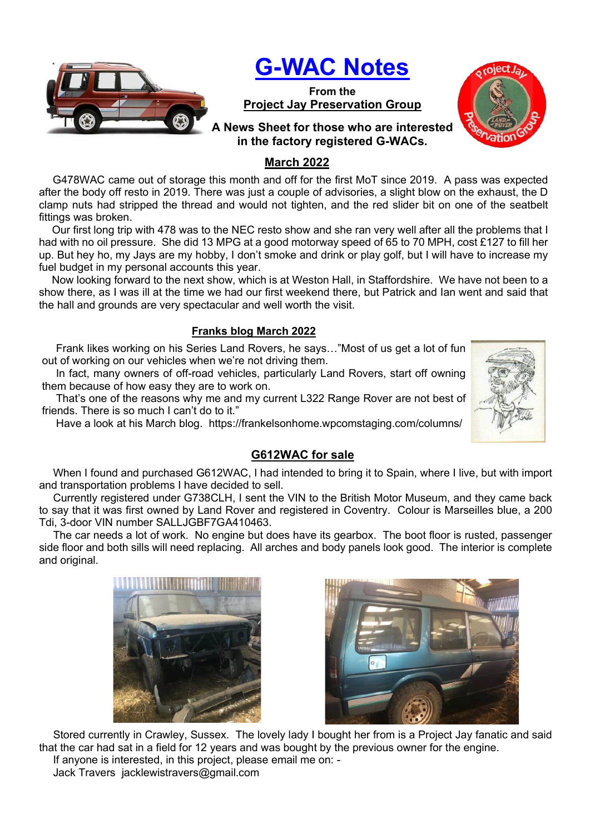

# G-WAC Notes

From the Project Jay Preservation Group



# A News Sheet for those who are interested in the factory registered G-WACs.

# March 2022

 G478WAC came out of storage this month and off for the first MoT since 2019. A pass was expected after the body off resto in 2019. There was just a couple of advisories, a slight blow on the exhaust, the D clamp nuts had stripped the thread and would not tighten, and the red slider bit on one of the seatbelt fittings was broken.

 Our first long trip with 478 was to the NEC resto show and she ran very well after all the problems that I had with no oil pressure. She did 13 MPG at a good motorway speed of 65 to 70 MPH, cost £127 to fill her up. But hey ho, my Jays are my hobby, I don't smoke and drink or play golf, but I will have to increase my fuel budget in my personal accounts this year.

 Now looking forward to the next show, which is at Weston Hall, in Staffordshire. We have not been to a show there, as I was ill at the time we had our first weekend there, but Patrick and Ian went and said that the hall and grounds are very spectacular and well worth the visit.

### Franks blog March 2022

Frank likes working on his Series Land Rovers, he says…"Most of us get a lot of fun out of working on our vehicles when we're not driving them.

In fact, many owners of off-road vehicles, particularly Land Rovers, start off owning them because of how easy they are to work on.

That's one of the reasons why me and my current L322 Range Rover are not best of friends. There is so much I can't do to it."

Have a look at his March blog. https://frankelsonhome.wpcomstaging.com/columns/



## G612WAC for sale

When I found and purchased G612WAC, I had intended to bring it to Spain, where I live, but with import and transportation problems I have decided to sell.

Currently registered under G738CLH, I sent the VIN to the British Motor Museum, and they came back to say that it was first owned by Land Rover and registered in Coventry. Colour is Marseilles blue, a 200 Tdi, 3-door VIN number SALLJGBF7GA410463.

The car needs a lot of work. No engine but does have its gearbox. The boot floor is rusted, passenger side floor and both sills will need replacing. All arches and body panels look good. The interior is complete and original.





Stored currently in Crawley, Sussex. The lovely lady I bought her from is a Project Jay fanatic and said that the car had sat in a field for 12 years and was bought by the previous owner for the engine. If anyone is interested, in this project, please email me on: -

Jack Travers jacklewistravers@gmail.com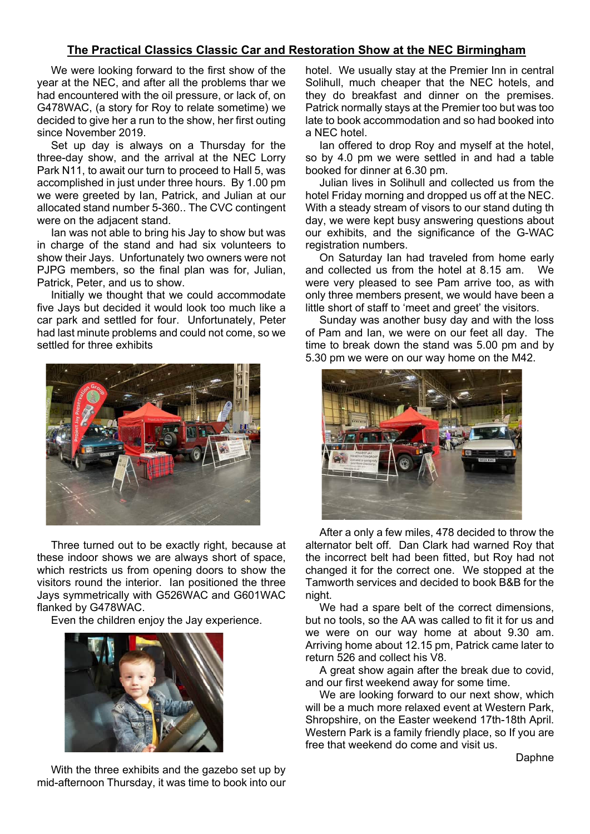### The Practical Classics Classic Car and Restoration Show at the NEC Birmingham

We were looking forward to the first show of the year at the NEC, and after all the problems thar we had encountered with the oil pressure, or lack of, on G478WAC, (a story for Roy to relate sometime) we decided to give her a run to the show, her first outing since November 2019.

Set up day is always on a Thursday for the three-day show, and the arrival at the NEC Lorry Park N11, to await our turn to proceed to Hall 5, was accomplished in just under three hours. By 1.00 pm we were greeted by Ian, Patrick, and Julian at our allocated stand number 5-360.. The CVC contingent were on the adjacent stand.

Ian was not able to bring his Jay to show but was in charge of the stand and had six volunteers to show their Jays. Unfortunately two owners were not PJPG members, so the final plan was for, Julian, Patrick, Peter, and us to show.

Initially we thought that we could accommodate five Jays but decided it would look too much like a car park and settled for four. Unfortunately, Peter had last minute problems and could not come, so we settled for three exhibits



Three turned out to be exactly right, because at these indoor shows we are always short of space, which restricts us from opening doors to show the visitors round the interior. Ian positioned the three Jays symmetrically with G526WAC and G601WAC flanked by G478WAC.

Even the children enjoy the Jay experience.



hotel. We usually stay at the Premier Inn in central Solihull, much cheaper that the NEC hotels, and they do breakfast and dinner on the premises. Patrick normally stays at the Premier too but was too late to book accommodation and so had booked into a NEC hotel.

Ian offered to drop Roy and myself at the hotel, so by 4.0 pm we were settled in and had a table booked for dinner at 6.30 pm.

Julian lives in Solihull and collected us from the hotel Friday morning and dropped us off at the NEC. With a steady stream of visors to our stand duting th day, we were kept busy answering questions about our exhibits, and the significance of the G-WAC registration numbers.

On Saturday Ian had traveled from home early and collected us from the hotel at 8.15 am. We were very pleased to see Pam arrive too, as with only three members present, we would have been a little short of staff to 'meet and greet' the visitors.

Sunday was another busy day and with the loss of Pam and Ian, we were on our feet all day. The time to break down the stand was 5.00 pm and by 5.30 pm we were on our way home on the M42.



After a only a few miles, 478 decided to throw the alternator belt off. Dan Clark had warned Roy that the incorrect belt had been fitted, but Roy had not changed it for the correct one. We stopped at the Tamworth services and decided to book B&B for the night.

We had a spare belt of the correct dimensions, but no tools, so the AA was called to fit it for us and we were on our way home at about 9.30 am. Arriving home about 12.15 pm, Patrick came later to return 526 and collect his V8.

A great show again after the break due to covid, and our first weekend away for some time.

We are looking forward to our next show, which will be a much more relaxed event at Western Park, Shropshire, on the Easter weekend 17th-18th April. Western Park is a family friendly place, so If you are free that weekend do come and visit us.

Daphne

With the three exhibits and the gazebo set up by mid-afternoon Thursday, it was time to book into our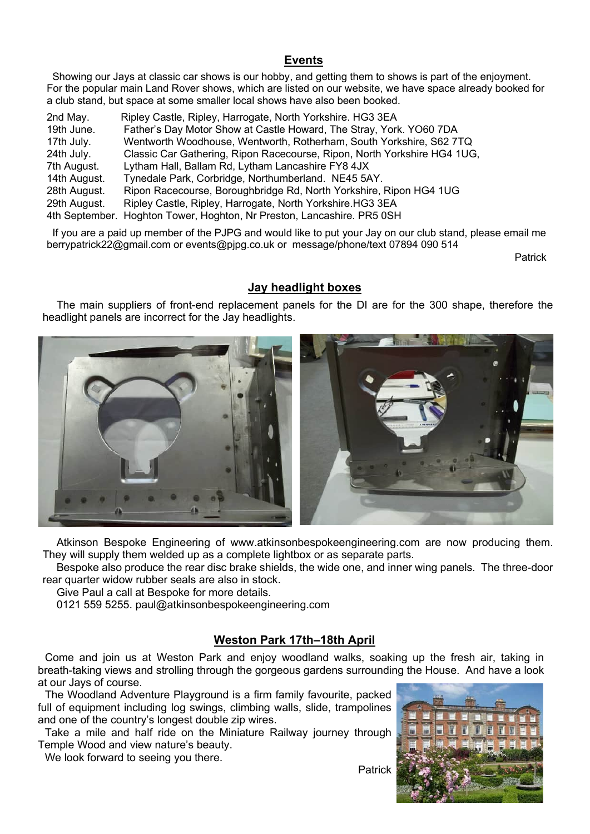#### Events

 Showing our Jays at classic car shows is our hobby, and getting them to shows is part of the enjoyment. For the popular main Land Rover shows, which are listed on our website, we have space already booked for a club stand, but space at some smaller local shows have also been booked.

| 2nd May.     | Ripley Castle, Ripley, Harrogate, North Yorkshire. HG3 3EA               |
|--------------|--------------------------------------------------------------------------|
| 19th June.   | Father's Day Motor Show at Castle Howard, The Stray, York. YO60 7DA      |
| 17th July.   | Wentworth Woodhouse, Wentworth, Rotherham, South Yorkshire, S62 7TQ      |
| 24th July.   | Classic Car Gathering, Ripon Racecourse, Ripon, North Yorkshire HG4 1UG, |
| 7th August.  | Lytham Hall, Ballam Rd, Lytham Lancashire FY8 4JX                        |
| 14th August. | Tynedale Park, Corbridge, Northumberland. NE45 5AY.                      |
| 28th August. | Ripon Racecourse, Boroughbridge Rd, North Yorkshire, Ripon HG4 1UG       |
| 29th August. | Ripley Castle, Ripley, Harrogate, North Yorkshire. HG3 3EA               |
|              | 4th September. Hoghton Tower, Hoghton, Nr Preston, Lancashire. PR5 0SH   |

 If you are a paid up member of the PJPG and would like to put your Jay on our club stand, please email me berrypatrick22@gmail.com or events@pjpg.co.uk or message/phone/text 07894 090 514

Patrick

#### Jay headlight boxes

The main suppliers of front-end replacement panels for the DI are for the 300 shape, therefore the headlight panels are incorrect for the Jay headlights.



Atkinson Bespoke Engineering of www.atkinsonbespokeengineering.com are now producing them. They will supply them welded up as a complete lightbox or as separate parts.

Bespoke also produce the rear disc brake shields, the wide one, and inner wing panels. The three-door rear quarter widow rubber seals are also in stock.

Give Paul a call at Bespoke for more details.

0121 559 5255. paul@atkinsonbespokeengineering.com

#### Weston Park 17th–18th April

Come and join us at Weston Park and enjoy woodland walks, soaking up the fresh air, taking in breath-taking views and strolling through the gorgeous gardens surrounding the House. And have a look at our Jays of course.

The Woodland Adventure Playground is a firm family favourite, packed full of equipment including log swings, climbing walls, slide, trampolines and one of the country's longest double zip wires.

Take a mile and half ride on the Miniature Railway journey through Temple Wood and view nature's beauty.

We look forward to seeing you there.

Patrick